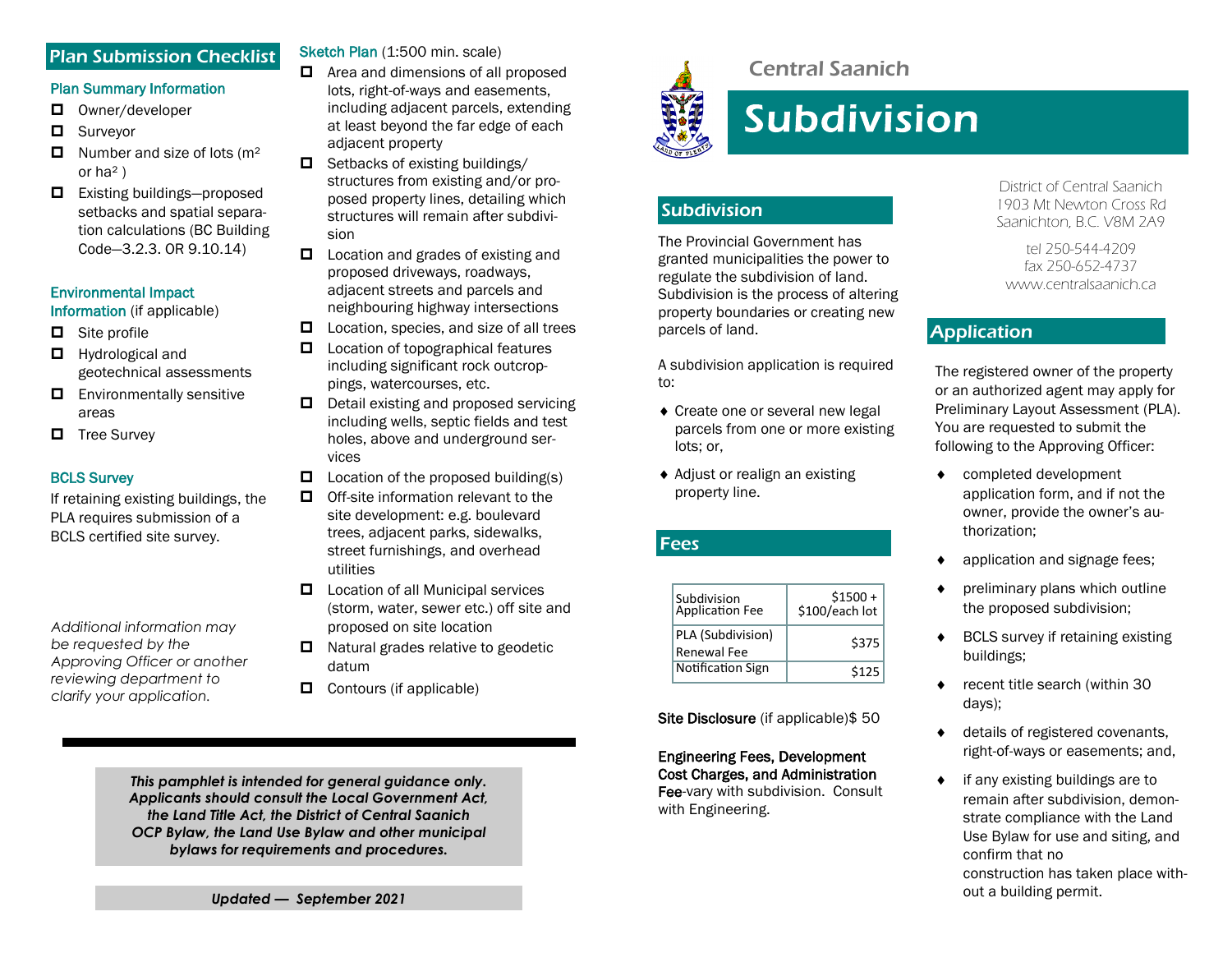## Plan Submission Checklist

# Plan Summary Information

- D Owner/developer
- **D** Surveyor
- $\Box$  Number and size of lots (m<sup>2</sup> or  $ha<sup>2</sup>$ )
- $\Box$  Existing buildings—proposed setbacks and spatial separation calculations (BC Building Code—3.2.3. OR 9.10.14)

#### Environmental Impact

Information (if applicable)

- $\Box$  Site profile
- **Hydrological and** geotechnical assessments
- $\Box$  Environmentally sensitive areas
- $\Box$  Tree Survey

#### BCLS Survey

If retaining existing buildings, the PLA requires submission of a BCLS certified site survey.

*Additional information may be requested by the Approving Officer or another reviewing department to clarify your application.* 

Sketch Plan (1:500 min. scale)

- $\Box$  Area and dimensions of all proposed lots, right-of-ways and easements, including adjacent parcels, extending at least beyond the far edge of each adjacent property
- $\Box$  Setbacks of existing buildings/ structures from existing and/or proposed property lines, detailing which structures will remain after subdivision
- $\Box$  Location and grades of existing and proposed driveways, roadways, adjacent streets and parcels and neighbouring highway intersections
- $\Box$  Location, species, and size of all trees
- $\Box$  Location of topographical features including significant rock outcroppings, watercourses, etc.
- $\Box$  Detail existing and proposed servicing including wells, septic fields and test holes, above and underground services
- $\Box$  Location of the proposed building(s)
- $\Box$  Off-site information relevant to the site development: e.g. boulevard trees, adjacent parks, sidewalks, street furnishings, and overhead utilities
- $\Box$  Location of all Municipal services (storm, water, sewer etc.) off site and proposed on site location
- $\Box$  Natural grades relative to geodetic datum
- $\Box$  Contours (if applicable)

*This pamphlet is intended for general guidance only. Applicants should consult the Local Government Act, the Land Title Act, the District of Central Saanich OCP Bylaw, the Land Use Bylaw and other municipal bylaws for requirements and procedures.*



# Central Saanich

# **Subdivision**

## Subdivision

The Provincial Government has granted municipalities the power to regulate the subdivision of land. Subdivision is the process of altering property boundaries or creating new parcels of land.

A subdivision application is required to:

- ◆ Create one or several new legal parcels from one or more existing lots; or,
- Adjust or realign an existing property line.

#### Fees

| Subdivision<br>Application Fee   | $$1500 +$<br>\$100/each lot |
|----------------------------------|-----------------------------|
| PLA (Subdivision)<br>Renewal Fee | \$375                       |
| <b>Notification Sign</b>         | \$125                       |

Site Disclosure (if applicable) \$50

#### Engineering Fees, Development Cost Charges, and Administration Fee-vary with subdivision. Consult

with Engineering.

District of Central Saanich 1903 Mt Newton Cross Rd Saanichton, B.C. V8M 2A9

tel 250-544-4209 fax 250-652-4737 www.centralsaanich.ca

# Application

The registered owner of the property or an authorized agent may apply for Preliminary Layout Assessment (PLA). You are requested to submit the following to the Approving Officer:

- completed development application form, and if not the owner, provide the owner's authorization;
- application and signage fees;
- preliminary plans which outline the proposed subdivision;
- ◆ BCLS survey if retaining existing buildings;
- ◆ recent title search (within 30 days);
- ◆ details of registered covenants, right-of-ways or easements; and,
- if any existing buildings are to remain after subdivision, demonstrate compliance with the Land Use Bylaw for use and siting, and confirm that no construction has taken place without a building permit.

*Updated — September 2021*